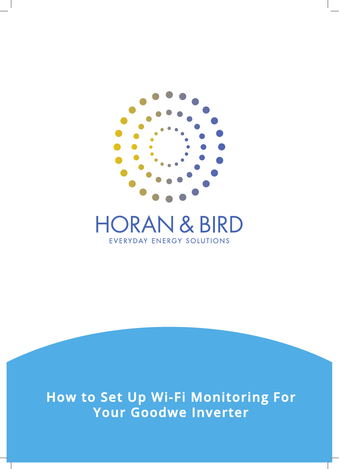

## **HORAN & BIRD** EVERYDAY ENERGY SOLUTIONS

**How to Set Up Wi-Fi Monitoring For Your Goodwe Inverter**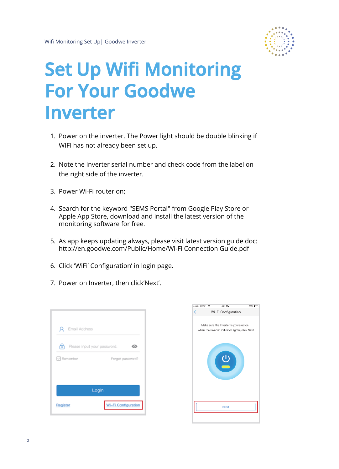

## **Set Up Wifi Monitoring For Your Goodwe Inverter**

- 1. Power on the inverter. The Power light should be double blinking if WIFI has not already been set up.
- 2. Note the inverter serial number and check code from the label on the right side of the inverter.
- 3. Power Wi-Fi router on;
- 4. Search for the keyword "SEMS Portal" from Google Play Store or Apple App Store, download and install the latest version of the monitoring software for free.
- 5. As app keeps updating always, please visit latest version guide doc: http://en.goodwe.com/Public/Home/Wi-Fi Connection Guide.pdf
- 6. Click 'WiFi' Configuration' in login page.
- 7. Power on Inverter, then click'Next'.

| Email Address<br>я |                                  |
|--------------------|----------------------------------|
| তি                 | Please input your password.<br>O |
| □ Remember         | Forget password?                 |
|                    |                                  |
|                    | Login                            |
|                    |                                  |
| Register           | <b>Wi-Fi Configuration</b>       |

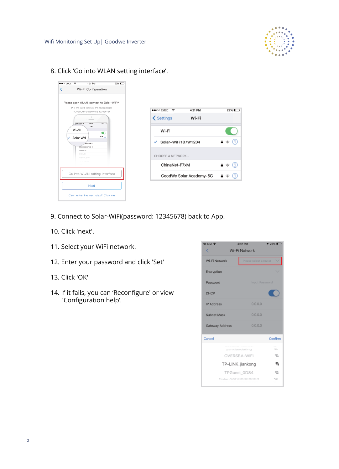

8. Click 'Go into WLAN setting interface'.





- 9. Connect to Solar-WiFi(password: 12345678) back to App.
- 10. Click 'next'.
- 11. Select your WiFi network.
- 12. Enter your password and click 'Set'
- 13. Click 'OK'
- 14. If it fails, you can 'Reconfigure' or view 'Configuration help'.

| No SIM 字          | 2:17 PM<br><b>126%■</b> |  |
|-------------------|-------------------------|--|
| K                 | Wi-Fi Network           |  |
| Wi-Fi Network     | Please select a router  |  |
| Encryption        |                         |  |
| Password          | <b>Input Password</b>   |  |
| <b>DHCP</b>       |                         |  |
| <b>IP Address</b> | 0.0.0.0                 |  |
| Subnet Mask       | 0.0.0.0                 |  |
| Gateway Address   | 0.0.0.0                 |  |
| Cancel            | Confirm                 |  |
|                   | yanxiaodating<br>÷.     |  |
|                   | OVERSEA-WIFI<br>€       |  |
|                   | TP-LINK_jiankong        |  |
|                   | TPGuest 0D84<br>a       |  |
|                   | Solar-WIFI00000000<br>s |  |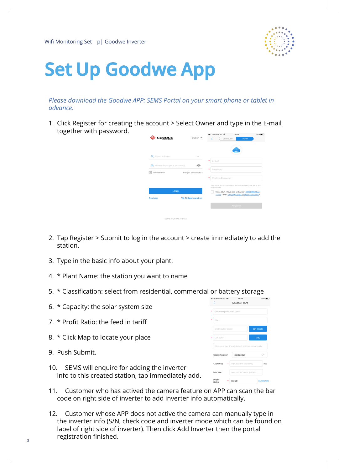Wifi Monitoring Set p | Goodwe Inverter



## **Set Up Goodwe App**

*Please download the Goodwe APP: SEMS Portal on your smart phone or tablet in advance.*

1. Click Register for creating the account > Select Owner and type in the E-mail together with password.

| <b>SEM5</b><br>Email Address<br>$\sim$<br>٠<br>E-mail<br>Please input your password<br>⊙<br>ക<br>٠<br>Password<br>Remember<br>Forget password?<br>٠<br>Confirm Password<br>one number.<br>Login<br><b>Wi-Fi Configuration</b><br><b>Register</b><br><b>Register</b> | English $\blacktriangledown$ | all T-Mobile NL 宇<br>12:12<br>60%1<br>Distributor<br>Owner                                          |
|---------------------------------------------------------------------------------------------------------------------------------------------------------------------------------------------------------------------------------------------------------------------|------------------------------|-----------------------------------------------------------------------------------------------------|
|                                                                                                                                                                                                                                                                     |                              |                                                                                                     |
|                                                                                                                                                                                                                                                                     |                              |                                                                                                     |
|                                                                                                                                                                                                                                                                     |                              |                                                                                                     |
|                                                                                                                                                                                                                                                                     |                              |                                                                                                     |
|                                                                                                                                                                                                                                                                     |                              | Should be 8-16 characters, include at least one letter and                                          |
|                                                                                                                                                                                                                                                                     |                              | I'm an adult, I have read and agree * GOODWE User.<br>Terms * and * GOODWE Data Protection Claims * |
|                                                                                                                                                                                                                                                                     |                              |                                                                                                     |
|                                                                                                                                                                                                                                                                     |                              |                                                                                                     |
|                                                                                                                                                                                                                                                                     | SEMS PORTAL V2.0.2           |                                                                                                     |

- 2. Tap Register > Submit to log in the account > create immediately to add the station.
- 3. Type in the basic info about your plant.
- 4. \* Plant Name: the station you want to name
- 5. \* Classification: select from residential, commercial or battery storage
- 6. \* Capacity: the solar system size
- 7. \* Profit Ratio: the feed in tariff
- 8. \* Click Map to locate your place
- 9. Push Submit.
- 10. SEMS will enquire for adding the inverter info to this created station, tap immediately add.

| eil T-Mobile NL 宇  | 12:15                                      | 59%1           |
|--------------------|--------------------------------------------|----------------|
|                    | Create Plant                               |                |
| Goodwe@hotmail.com |                                            |                |
| Plant              |                                            |                |
| Distributor code   |                                            | <b>QR Code</b> |
| Location           |                                            | Map            |
|                    | Please enter the detailed address manually |                |
| Classification     | residential                                |                |
| Capacity           | Input plant capacity                       | kW             |
|                    |                                            |                |
| Module             | amount of solar panels                     |                |

- 11. Customer who has actived the camera feature on APP can scan the bar code on right side of inverter to add inverter info automatically.
- 12. Customer whose APP does not active the camera can manually type in the inverter info (S/N, check code and inverter mode which can be found on label of right side of inverter). Then click Add Inverter then the portal registration finished.